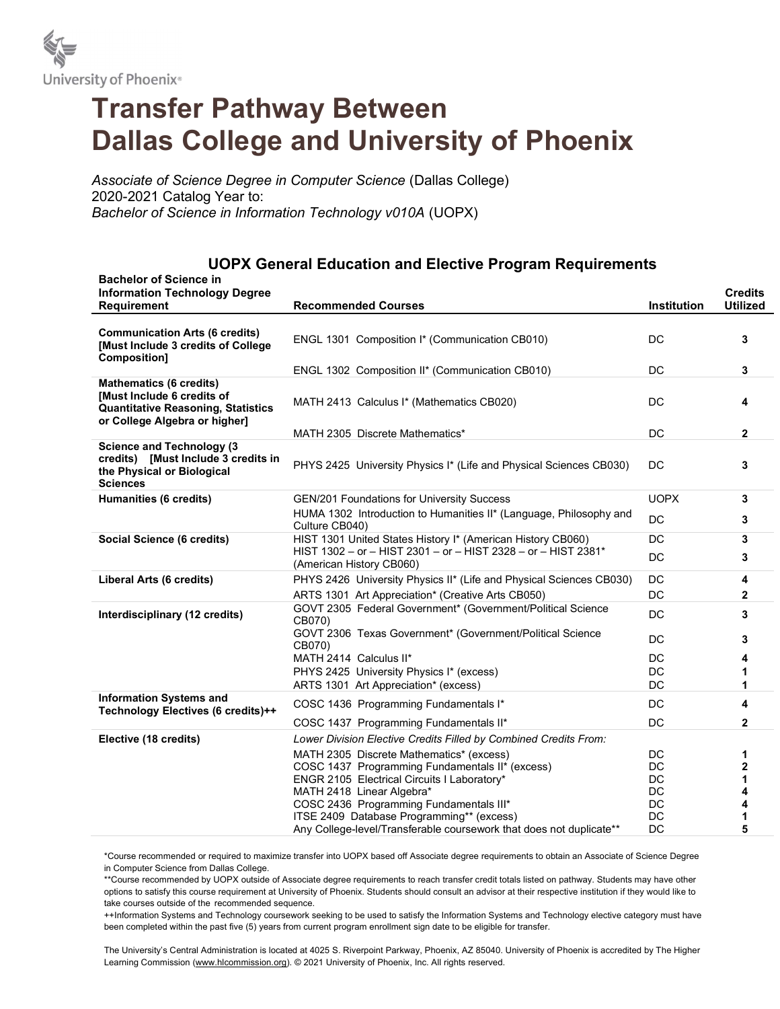

## Transfer Pathway Between Dallas College and University of Phoenix

Associate of Science Degree in Computer Science (Dallas College) 2020-2021 Catalog Year to: Bachelor of Science in Information Technology v010A (UOPX)

## UOPX General Education and Elective Program Requirements

| <b>Bachelor of Science in</b><br><b>Information Technology Degree</b><br><b>Requirement</b>                                                       | <b>Recommended Courses</b>                                                                | Institution | <b>Credits</b><br><b>Utilized</b> |
|---------------------------------------------------------------------------------------------------------------------------------------------------|-------------------------------------------------------------------------------------------|-------------|-----------------------------------|
|                                                                                                                                                   |                                                                                           |             |                                   |
| <b>Communication Arts (6 credits)</b><br>[Must Include 3 credits of College                                                                       | ENGL 1301 Composition I* (Communication CB010)                                            | DC          | 3                                 |
| <b>Composition]</b>                                                                                                                               | ENGL 1302 Composition II* (Communication CB010)                                           | DC          | 3                                 |
| <b>Mathematics (6 credits)</b><br><b>IMust Include 6 credits of</b><br><b>Quantitative Reasoning, Statistics</b><br>or College Algebra or higher] | MATH 2413 Calculus I* (Mathematics CB020)                                                 | DC          | 4                                 |
|                                                                                                                                                   | MATH 2305 Discrete Mathematics*                                                           | DC          | $\mathbf{2}$                      |
| <b>Science and Technology (3)</b><br>credits) [Must Include 3 credits in<br>the Physical or Biological<br><b>Sciences</b>                         | PHYS 2425 University Physics I* (Life and Physical Sciences CB030)                        | DC          | 3                                 |
| <b>Humanities (6 credits)</b>                                                                                                                     | GEN/201 Foundations for University Success                                                | <b>UOPX</b> | 3                                 |
|                                                                                                                                                   | HUMA 1302 Introduction to Humanities II* (Language, Philosophy and<br>Culture CB040)      | <b>DC</b>   | 3                                 |
| <b>Social Science (6 credits)</b>                                                                                                                 | HIST 1301 United States History I* (American History CB060)                               | DC          | 3                                 |
|                                                                                                                                                   | HIST 1302 - or - HIST 2301 - or - HIST 2328 - or - HIST 2381*<br>(American History CB060) | DC          | 3                                 |
| Liberal Arts (6 credits)                                                                                                                          | PHYS 2426 University Physics II* (Life and Physical Sciences CB030)                       | DC          | 4                                 |
|                                                                                                                                                   | ARTS 1301 Art Appreciation* (Creative Arts CB050)                                         | DC          | 2                                 |
| Interdisciplinary (12 credits)                                                                                                                    | GOVT 2305 Federal Government* (Government/Political Science<br>CB070)                     | DC          | 3                                 |
|                                                                                                                                                   | GOVT 2306 Texas Government* (Government/Political Science<br>CB070)                       | DC          | 3                                 |
|                                                                                                                                                   | MATH 2414 Calculus II*                                                                    | DC          | 4                                 |
|                                                                                                                                                   | PHYS 2425 University Physics I* (excess)                                                  | DC          | 1                                 |
|                                                                                                                                                   | ARTS 1301 Art Appreciation* (excess)                                                      | DC          | 1                                 |
| <b>Information Systems and</b><br>Technology Electives (6 credits)++                                                                              | COSC 1436 Programming Fundamentals I*                                                     | DC          | 4                                 |
|                                                                                                                                                   | COSC 1437 Programming Fundamentals II*                                                    | DC          | $\mathbf{2}$                      |
| Elective (18 credits)                                                                                                                             | Lower Division Elective Credits Filled by Combined Credits From:                          |             |                                   |
|                                                                                                                                                   | MATH 2305 Discrete Mathematics* (excess)                                                  | DC          | 1                                 |
|                                                                                                                                                   | COSC 1437 Programming Fundamentals II* (excess)                                           | DC          | 2                                 |
|                                                                                                                                                   | ENGR 2105 Electrical Circuits I Laboratory*                                               | DC          | 1                                 |
|                                                                                                                                                   | MATH 2418 Linear Algebra*                                                                 | DC          | 4                                 |
|                                                                                                                                                   | COSC 2436 Programming Fundamentals III*<br>ITSE 2409 Database Programming** (excess)      | DC<br>DC    | 4<br>1                            |
|                                                                                                                                                   | Any College-level/Transferable coursework that does not duplicate**                       | DC          | 5                                 |

\*Course recommended or required to maximize transfer into UOPX based off Associate degree requirements to obtain an Associate of Science Degree in Computer Science from Dallas College.

\*\*Course recommended by UOPX outside of Associate degree requirements to reach transfer credit totals listed on pathway. Students may have other options to satisfy this course requirement at University of Phoenix. Students should consult an advisor at their respective institution if they would like to take courses outside of the recommended sequence.

++Information Systems and Technology coursework seeking to be used to satisfy the Information Systems and Technology elective category must have been completed within the past five (5) years from current program enrollment sign date to be eligible for transfer.

The University's Central Administration is located at 4025 S. Riverpoint Parkway, Phoenix, AZ 85040. University of Phoenix is accredited by The Higher Learning Commission (www.hlcommission.org). © 2021 University of Phoenix, Inc. All rights reserved.